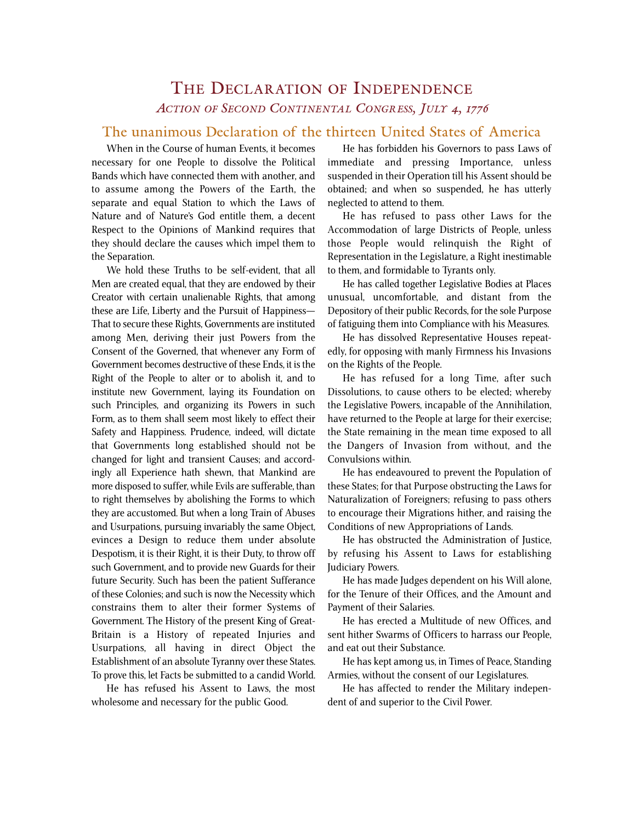## THE DECLARATION OF INDEPENDENCE *ACTION OF SECOND CONTINENTAL CONGRESS, JULY 4, 1776*

## The unanimous Declaration of the thirteen United States of America

When in the Course of human Events, it becomes necessary for one People to dissolve the Political Bands which have connected them with another, and to assume among the Powers of the Earth, the separate and equal Station to which the Laws of Nature and of Nature's God entitle them, a decent Respect to the Opinions of Mankind requires that they should declare the causes which impel them to the Separation.

We hold these Truths to be self-evident, that all Men are created equal, that they are endowed by their Creator with certain unalienable Rights, that among these are Life, Liberty and the Pursuit of Happiness— That to secure these Rights, Governments are instituted among Men, deriving their just Powers from the Consent of the Governed, that whenever any Form of Government becomes destructive of these Ends, it is the Right of the People to alter or to abolish it, and to institute new Government, laying its Foundation on such Principles, and organizing its Powers in such Form, as to them shall seem most likely to effect their Safety and Happiness. Prudence, indeed, will dictate that Governments long established should not be changed for light and transient Causes; and accordingly all Experience hath shewn, that Mankind are more disposed to suffer, while Evils are sufferable, than to right themselves by abolishing the Forms to which they are accustomed. But when a long Train of Abuses and Usurpations, pursuing invariably the same Object, evinces a Design to reduce them under absolute Despotism, it is their Right, it is their Duty, to throw off such Government, and to provide new Guards for their future Security. Such has been the patient Sufferance of these Colonies; and such is now the Necessity which constrains them to alter their former Systems of Government. The History of the present King of Great-Britain is a History of repeated Injuries and Usurpations, all having in direct Object the Establishment of an absolute Tyranny over these States. To prove this, let Facts be submitted to a candid World.

He has refused his Assent to Laws, the most wholesome and necessary for the public Good.

He has forbidden his Governors to pass Laws of immediate and pressing Importance, unless suspended in their Operation till his Assent should be obtained; and when so suspended, he has utterly neglected to attend to them.

He has refused to pass other Laws for the Accommodation of large Districts of People, unless those People would relinquish the Right of Representation in the Legislature, a Right inestimable to them, and formidable to Tyrants only.

He has called together Legislative Bodies at Places unusual, uncomfortable, and distant from the Depository of their public Records, for the sole Purpose of fatiguing them into Compliance with his Measures.

He has dissolved Representative Houses repeatedly, for opposing with manly Firmness his Invasions on the Rights of the People.

He has refused for a long Time, after such Dissolutions, to cause others to be elected; whereby the Legislative Powers, incapable of the Annihilation, have returned to the People at large for their exercise; the State remaining in the mean time exposed to all the Dangers of Invasion from without, and the Convulsions within.

He has endeavoured to prevent the Population of these States; for that Purpose obstructing the Laws for Naturalization of Foreigners; refusing to pass others to encourage their Migrations hither, and raising the Conditions of new Appropriations of Lands.

He has obstructed the Administration of Justice, by refusing his Assent to Laws for establishing Judiciary Powers.

He has made Judges dependent on his Will alone, for the Tenure of their Offices, and the Amount and Payment of their Salaries.

He has erected a Multitude of new Offices, and sent hither Swarms of Officers to harrass our People, and eat out their Substance.

He has kept among us, in Times of Peace, Standing Armies, without the consent of our Legislatures.

He has affected to render the Military independent of and superior to the Civil Power.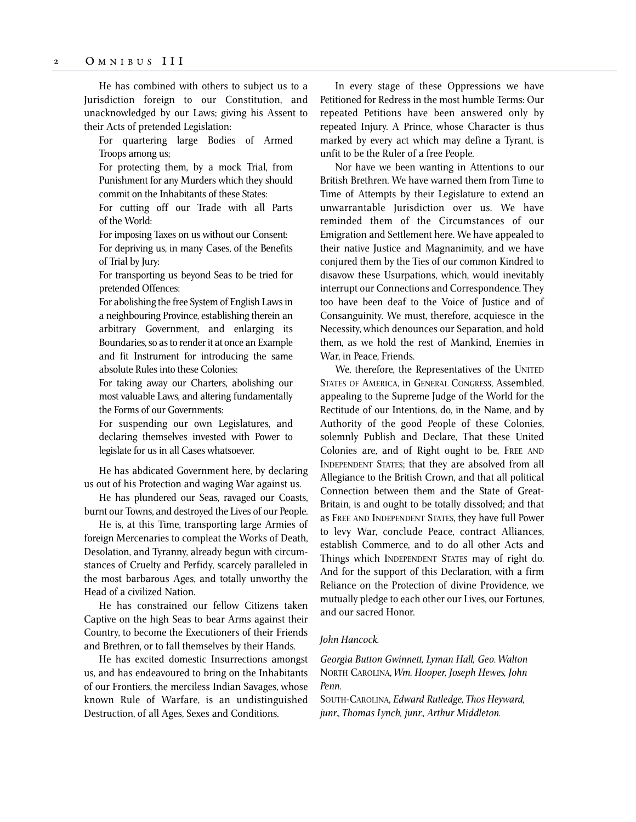He has combined with others to subject us to a Jurisdiction foreign to our Constitution, and unacknowledged by our Laws; giving his Assent to their Acts of pretended Legislation:

For quartering large Bodies of Armed Troops among us;

For protecting them, by a mock Trial, from Punishment for any Murders which they should commit on the Inhabitants of these States:

For cutting off our Trade with all Parts of the World:

For imposing Taxes on us without our Consent: For depriving us, in many Cases, of the Benefits of Trial by Jury:

For transporting us beyond Seas to be tried for pretended Offences:

For abolishing the free System of English Laws in a neighbouring Province, establishing therein an arbitrary Government, and enlarging its Boundaries, so as to render it at once an Example and fit Instrument for introducing the same absolute Rules into these Colonies:

For taking away our Charters, abolishing our most valuable Laws, and altering fundamentally the Forms of our Governments:

For suspending our own Legislatures, and declaring themselves invested with Power to legislate for us in all Cases whatsoever.

He has abdicated Government here, by declaring us out of his Protection and waging War against us.

He has plundered our Seas, ravaged our Coasts, burnt our Towns, and destroyed the Lives of our People.

He is, at this Time, transporting large Armies of foreign Mercenaries to compleat the Works of Death, Desolation, and Tyranny, already begun with circumstances of Cruelty and Perfidy, scarcely paralleled in the most barbarous Ages, and totally unworthy the Head of a civilized Nation.

He has constrained our fellow Citizens taken Captive on the high Seas to bear Arms against their Country, to become the Executioners of their Friends and Brethren, or to fall themselves by their Hands.

He has excited domestic Insurrections amongst us, and has endeavoured to bring on the Inhabitants of our Frontiers, the merciless Indian Savages, whose known Rule of Warfare, is an undistinguished Destruction, of all Ages, Sexes and Conditions.

In every stage of these Oppressions we have Petitioned for Redress in the most humble Terms: Our repeated Petitions have been answered only by repeated Injury. A Prince, whose Character is thus marked by every act which may define a Tyrant, is unfit to be the Ruler of a free People.

Nor have we been wanting in Attentions to our British Brethren. We have warned them from Time to Time of Attempts by their Legislature to extend an unwarrantable Jurisdiction over us. We have reminded them of the Circumstances of our Emigration and Settlement here. We have appealed to their native Justice and Magnanimity, and we have conjured them by the Ties of our common Kindred to disavow these Usurpations, which, would inevitably interrupt our Connections and Correspondence. They too have been deaf to the Voice of Justice and of Consanguinity. We must, therefore, acquiesce in the Necessity, which denounces our Separation, and hold them, as we hold the rest of Mankind, Enemies in War, in Peace, Friends.

We, therefore, the Representatives of the UNITED STATES OF AMERICA, in GENERAL CONGRESS, Assembled, appealing to the Supreme Judge of the World for the Rectitude of our Intentions, do, in the Name, and by Authority of the good People of these Colonies, solemnly Publish and Declare, That these United Colonies are, and of Right ought to be, FREE AND INDEPENDENT STATES; that they are absolved from all Allegiance to the British Crown, and that all political Connection between them and the State of Great-Britain, is and ought to be totally dissolved; and that as FREE AND INDEPENDENT STATES, they have full Power to levy War, conclude Peace, contract Alliances, establish Commerce, and to do all other Acts and Things which INDEPENDENT STATES may of right do. And for the support of this Declaration, with a firm Reliance on the Protection of divine Providence, we mutually pledge to each other our Lives, our Fortunes, and our sacred Honor.

## *John Hancock.*

*Georgia Button Gwinnett, Lyman Hall, Geo. Walton*  NORTH CAROLINA, *Wm. Hooper, Joseph Hewes, John Penn.*

SOUTH-CAROLINA, *Edward Rutledge, Thos Heyward, junr., Thomas Lynch, junr., Arthur Middleton.*